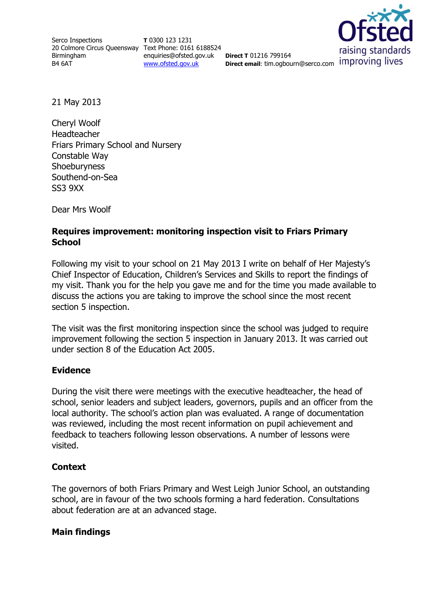Serco Inspections 20 Colmore Circus Queensway Text Phone: 0161 6188524 Birmingham B4 6AT

**T** 0300 123 1231 enquiries@ofsted.gov.uk [www.ofsted.gov.uk](http://www.ofsted.gov.uk/)

**Direct T** 01216 799164 **Direct email:** tim.ogbourn@serco.com improving lives



21 May 2013

Cheryl Woolf Headteacher Friars Primary School and Nursery Constable Way **Shoeburyness** Southend-on-Sea SS3 9XX

Dear Mrs Woolf

### **Requires improvement: monitoring inspection visit to Friars Primary School**

Following my visit to your school on 21 May 2013 I write on behalf of Her Majesty's Chief Inspector of Education, Children's Services and Skills to report the findings of my visit. Thank you for the help you gave me and for the time you made available to discuss the actions you are taking to improve the school since the most recent section 5 inspection.

The visit was the first monitoring inspection since the school was judged to require improvement following the section 5 inspection in January 2013. It was carried out under section 8 of the Education Act 2005.

#### **Evidence**

During the visit there were meetings with the executive headteacher, the head of school, senior leaders and subject leaders, governors, pupils and an officer from the local authority. The school's action plan was evaluated. A range of documentation was reviewed, including the most recent information on pupil achievement and feedback to teachers following lesson observations. A number of lessons were visited.

#### **Context**

The governors of both Friars Primary and West Leigh Junior School, an outstanding school, are in favour of the two schools forming a hard federation. Consultations about federation are at an advanced stage.

#### **Main findings**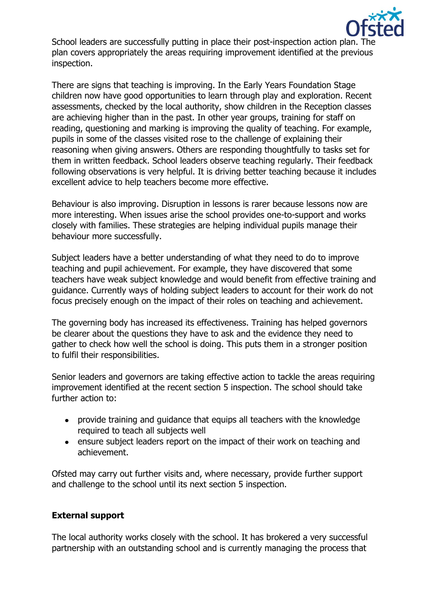

School leaders are successfully putting in place their post-inspection action plan. The plan covers appropriately the areas requiring improvement identified at the previous inspection.

There are signs that teaching is improving. In the Early Years Foundation Stage children now have good opportunities to learn through play and exploration. Recent assessments, checked by the local authority, show children in the Reception classes are achieving higher than in the past. In other year groups, training for staff on reading, questioning and marking is improving the quality of teaching. For example, pupils in some of the classes visited rose to the challenge of explaining their reasoning when giving answers. Others are responding thoughtfully to tasks set for them in written feedback. School leaders observe teaching regularly. Their feedback following observations is very helpful. It is driving better teaching because it includes excellent advice to help teachers become more effective.

Behaviour is also improving. Disruption in lessons is rarer because lessons now are more interesting. When issues arise the school provides one-to-support and works closely with families. These strategies are helping individual pupils manage their behaviour more successfully.

Subject leaders have a better understanding of what they need to do to improve teaching and pupil achievement. For example, they have discovered that some teachers have weak subject knowledge and would benefit from effective training and guidance. Currently ways of holding subject leaders to account for their work do not focus precisely enough on the impact of their roles on teaching and achievement.

The governing body has increased its effectiveness. Training has helped governors be clearer about the questions they have to ask and the evidence they need to gather to check how well the school is doing. This puts them in a stronger position to fulfil their responsibilities.

Senior leaders and governors are taking effective action to tackle the areas requiring improvement identified at the recent section 5 inspection. The school should take further action to:

- provide training and guidance that equips all teachers with the knowledge required to teach all subjects well
- ensure subject leaders report on the impact of their work on teaching and achievement.

Ofsted may carry out further visits and, where necessary, provide further support and challenge to the school until its next section 5 inspection.

## **External support**

The local authority works closely with the school. It has brokered a very successful partnership with an outstanding school and is currently managing the process that